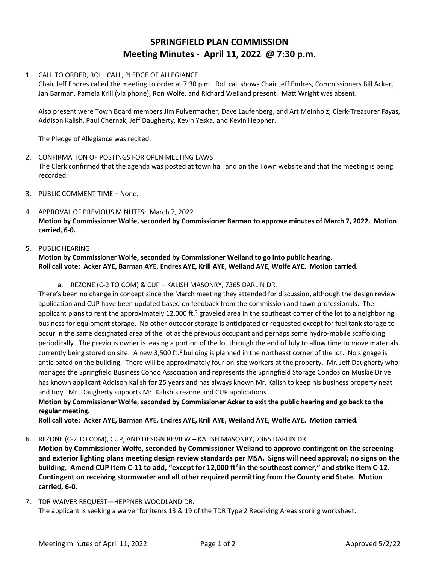# **SPRINGFIELD PLAN COMMISSION Meeting Minutes - April 11, 2022 @ 7:30 p.m.**

## 1. CALL TO ORDER, ROLL CALL, PLEDGE OF ALLEGIANCE

Chair Jeff Endres called the meeting to order at 7:30 p.m. Roll call shows Chair Jeff Endres, Commissioners Bill Acker, Jan Barman, Pamela Krill (via phone), Ron Wolfe, and Richard Weiland present. Matt Wright was absent.

Also present were Town Board members Jim Pulvermacher, Dave Laufenberg, and Art Meinholz; Clerk-Treasurer Fayas, Addison Kalish, Paul Chernak, Jeff Daugherty, Kevin Yeska, and Kevin Heppner.

The Pledge of Allegiance was recited.

- 2. CONFIRMATION OF POSTINGS FOR OPEN MEETING LAWS The Clerk confirmed that the agenda was posted at town hall and on the Town website and that the meeting is being recorded.
- 3. PUBLIC COMMENT TIME None.
- 4. APPROVAL OF PREVIOUS MINUTES: March 7, 2022 **Motion by Commissioner Wolfe, seconded by Commissioner Barman to approve minutes of March 7, 2022. Motion carried, 6-0.**

#### 5. PUBLIC HEARING

#### **Motion by Commissioner Wolfe, seconded by Commissioner Weiland to go into public hearing. Roll call vote: Acker AYE, Barman AYE, Endres AYE, Krill AYE, Weiland AYE, Wolfe AYE. Motion carried.**

a. REZONE (C-2 TO COM) & CUP – KALISH MASONRY, 7365 DARLIN DR.

There's been no change in concept since the March meeting they attended for discussion, although the design review application and CUP have been updated based on feedback from the commission and town professionals. The applicant plans to rent the approximately 12,000 ft.<sup>2</sup> graveled area in the southeast corner of the lot to a neighboring business for equipment storage. No other outdoor storage is anticipated or requested except for fuel tank storage to occur in the same designated area of the lot as the previous occupant and perhaps some hydro-mobile scaffolding periodically. The previous owner is leasing a portion of the lot through the end of July to allow time to move materials currently being stored on site. A new 3,500 ft.<sup>2</sup> building is planned in the northeast corner of the lot. No signage is anticipated on the building. There will be approximately four on-site workers at the property. Mr. Jeff Daugherty who manages the Springfield Business Condo Association and represents the Springfield Storage Condos on Muskie Drive has known applicant Addison Kalish for 25 years and has always known Mr. Kalish to keep his business property neat and tidy. Mr. Daugherty supports Mr. Kalish's rezone and CUP applications.

## **Motion by Commissioner Wolfe, seconded by Commissioner Acker to exit the public hearing and go back to the regular meeting.**

**Roll call vote: Acker AYE, Barman AYE, Endres AYE, Krill AYE, Weiland AYE, Wolfe AYE. Motion carried.**

#### 6. REZONE (C-2 TO COM), CUP, AND DESIGN REVIEW – KALISH MASONRY, 7365 DARLIN DR.

**Motion by Commissioner Wolfe, seconded by Commissioner Weiland to approve contingent on the screening and exterior lighting plans meeting design review standards per MSA. Signs will need approval; no signs on the building. Amend CUP Item C-11 to add, "except for 12,000 ft<sup>2</sup>in the southeast corner," and strike Item C-12. Contingent on receiving stormwater and all other required permitting from the County and State. Motion carried, 6-0.**

7. TDR WAIVER REQUEST—HEPPNER WOODLAND DR. The applicant is seeking a waiver for items 13 & 19 of the TDR Type 2 Receiving Areas scoring worksheet.